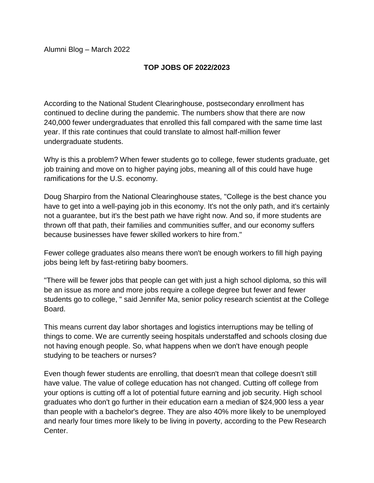Alumni Blog – March 2022

## **TOP JOBS OF 2022/2023**

According to the National Student Clearinghouse, postsecondary enrollment has continued to decline during the pandemic. The numbers show that there are now 240,000 fewer undergraduates that enrolled this fall compared with the same time last year. If this rate continues that could translate to almost half-million fewer undergraduate students.

Why is this a problem? When fewer students go to college, fewer students graduate, get job training and move on to higher paying jobs, meaning all of this could have huge ramifications for the U.S. economy.

Doug Sharpiro from the National Clearinghouse states, "College is the best chance you have to get into a well-paying job in this economy. It's not the only path, and it's certainly not a guarantee, but it's the best path we have right now. And so, if more students are thrown off that path, their families and communities suffer, and our economy suffers because businesses have fewer skilled workers to hire from."

Fewer college graduates also means there won't be enough workers to fill high paying jobs being left by fast-retiring baby boomers.

"There will be fewer jobs that people can get with just a high school diploma, so this will be an issue as more and more jobs require a college degree but fewer and fewer students go to college, " said Jennifer Ma, senior policy research scientist at the College Board.

This means current day labor shortages and logistics interruptions may be telling of things to come. We are currently seeing hospitals understaffed and schools closing due not having enough people. So, what happens when we don't have enough people studying to be teachers or nurses?

Even though fewer students are enrolling, that doesn't mean that college doesn't still have value. The value of college education has not changed. Cutting off college from your options is cutting off a lot of potential future earning and job security. High school graduates who don't go further in their education earn a median of \$24,900 less a year than people with a bachelor's degree. They are also 40% more likely to be unemployed and nearly four times more likely to be living in poverty, according to the Pew Research Center.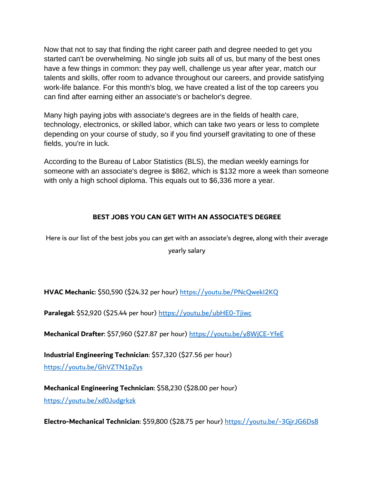Now that not to say that finding the right career path and degree needed to get you started can't be overwhelming. No single job suits all of us, but many of the best ones have a few things in common: they pay well, challenge us year after year, match our talents and skills, offer room to advance throughout our careers, and provide satisfying work-life balance. For this month's blog, we have created a list of the top careers you can find after earning either an associate's or bachelor's degree.

Many high paying jobs with associate's degrees are in the fields of health care, technology, electronics, or skilled labor, which can take two years or less to complete depending on your course of study, so if you find yourself gravitating to one of these fields, you're in luck.

According to the Bureau of Labor Statistics (BLS), the median weekly earnings for someone with an associate's degree is \$862, which is \$132 more a week than someone with only a high school diploma. This equals out to \$6,336 more a year.

## **BEST JOBS YOU CAN GET WITH AN ASSOCIATE'S DEGREE**

Here is our list of the best jobs you can get with an associate's degree, along with their average yearly salary

**HVAC Mechanic**: \$50,590 (\$24.32 per hour) <https://youtu.be/PNcQwekI2KQ>

Paralegal: \$52,920 (\$25.44 per hour)<https://youtu.be/ubHE0-Tjiwc>

**Mechanical Drafter**: \$57,960 (\$27.87 per hour)<https://youtu.be/y8WjCE-YfeE>

**Industrial Engineering Technician**: \$57,320 (\$27.56 per hour) <https://youtu.be/GhVZTN1pZys>

**Mechanical Engineering Technician**: \$58,230 (\$28.00 per hour) <https://youtu.be/xd0Judgrkzk>

**Electro-Mechanical Technician**: \$59,800 (\$28.75 per hour)<https://youtu.be/-3GjrJG6Ds8>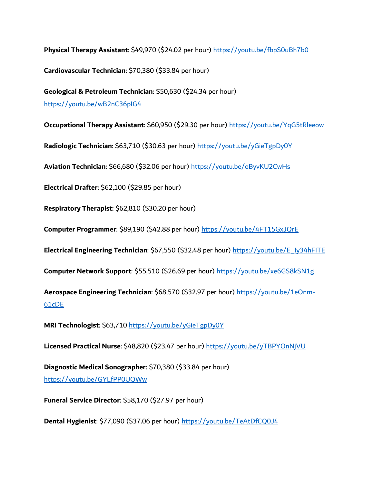**Physical Therapy Assistant**: \$49,970 (\$24.02 per hour)<https://youtu.be/fbpS0uBh7b0>

**Cardiovascular Technician**: \$70,380 (\$33.84 per hour)

**Geological & Petroleum Technician**: \$50,630 (\$24.34 per hour) <https://youtu.be/wB2nC36pIG4>

**Occupational Therapy Assistant**: \$60,950 (\$29.30 per hour)<https://youtu.be/YqG5tRleeow>

**Radiologic Technician**: \$63,710 (\$30.63 per hour)<https://youtu.be/yGieTgpDy0Y>

**Aviation Technician**: \$66,680 (\$32.06 per hour)<https://youtu.be/oByvKU2CwHs>

**Electrical Drafter**: \$62,100 (\$29.85 per hour)

**Respiratory Therapist:** \$62,810 (\$30.20 per hour)

**Computer Programmer**: \$89,190 (\$42.88 per hour) <https://youtu.be/4FT15GxJQrE>

**Electrical Engineering Technician**: \$67,550 (\$32.48 per hour) [https://youtu.be/E\\_Iy34hFITE](https://youtu.be/E_Iy34hFITE)

**Computer Network Support**: \$55,510 (\$26.69 per hour)<https://youtu.be/xe6GS8kSN1g>

**Aerospace Engineering Technician**: \$68,570 (\$32.97 per hour) [https://youtu.be/1eOnm-](https://youtu.be/1eOnm-61cDE)[61cDE](https://youtu.be/1eOnm-61cDE)

**MRI Technologist**: \$63,710 <https://youtu.be/yGieTgpDy0Y>

**Licensed Practical Nurse**: \$48,820 (\$23.47 per hour)<https://youtu.be/yTBPYOnNjVU>

**Diagnostic Medical Sonographer**: \$70,380 (\$33.84 per hour) <https://youtu.be/GYLfPP0UQWw>

**Funeral Service Director**: \$58,170 (\$27.97 per hour)

**Dental Hygienist**: \$77,090 (\$37.06 per hour)<https://youtu.be/TeAtDfCQ0J4>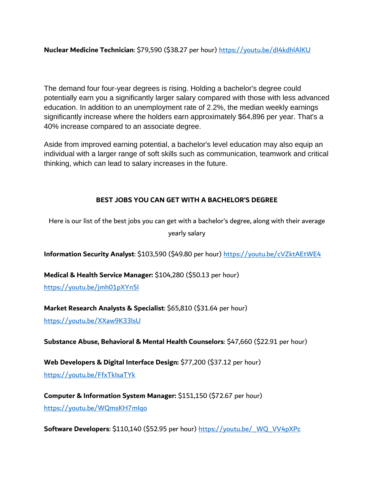**Nuclear Medicine Technician**: \$79,590 (\$38.27 per hour)<https://youtu.be/dI4kdhlAlKU>

The demand four four-year degrees is rising. Holding a bachelor's degree could potentially earn you a significantly larger salary compared with those with less advanced education. In addition to an unemployment rate of 2.2%, the median weekly earnings significantly increase where the holders earn approximately \$64,896 per year. That's a 40% increase compared to an associate degree.

Aside from improved earning potential, a bachelor's level education may also equip an individual with a larger range of soft skills such as communication, teamwork and critical thinking, which can lead to salary increases in the future.

## **BEST JOBS YOU CAN GET WITH A BACHELOR'S DEGREE**

Here is our list of the best jobs you can get with a bachelor's degree, along with their average yearly salary

**Information Security Analyst**: \$103,590 (\$49.80 per hour) <https://youtu.be/cVZktAEtWE4>

**Medical & Health Service Manager:** \$104,280 (\$50.13 per hour)

<https://youtu.be/jmh01pXYn5I>

**Market Research Analysts & Specialist**: \$65,810 (\$31.64 per hour)

<https://youtu.be/XXaw9K33lsU>

**Substance Abuse, Behavioral & Mental Health Counselors**: \$47,660 (\$22.91 per hour)

**Web Developers & Digital Interface Design:** \$77,200 (\$37.12 per hour) <https://youtu.be/FfxTkIsaTYk>

**Computer & Information System Manager:** \$151,150 (\$72.67 per hour) <https://youtu.be/WQmsKH7mIqo>

**Software Developers**: \$110,140 (\$52.95 per hour) [https://youtu.be/\\_WQ\\_VV4pXPc](https://youtu.be/_WQ_VV4pXPc)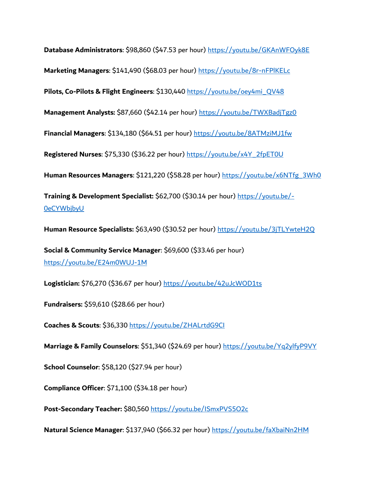**Database Administrators**: \$98,860 (\$47.53 per hour)<https://youtu.be/GKAnWFOyk8E> **Marketing Managers**: \$141,490 (\$68.03 per hour)<https://youtu.be/8r-nFPlKELc> **Pilots, Co-Pilots & Flight Engineers**: \$130,440 [https://youtu.be/oey4mi\\_QV48](https://youtu.be/oey4mi_QV48) **Management Analysts:** \$87,660 (\$42.14 per hour)<https://youtu.be/TWXBadjTgz0> **Financial Managers**: \$134,180 (\$64.51 per hour)<https://youtu.be/8ATMziMJ1fw> **Registered Nurses**: \$75,330 (\$36.22 per hour) [https://youtu.be/x4Y\\_2fpET0U](https://youtu.be/x4Y_2fpET0U) **Human Resources Managers**: \$121,220 (\$58.28 per hour) [https://youtu.be/x6NTfg\\_3Wh0](https://youtu.be/x6NTfg_3Wh0) **Training & Development Specialist:** \$62,700 (\$30.14 per hour) [https://youtu.be/-](https://youtu.be/-0eCYWbjbyU) [0eCYWbjbyU](https://youtu.be/-0eCYWbjbyU)

**Human Resource Specialists:** \$63,490 (\$30.52 per hour)<https://youtu.be/3jTLYwteH2Q>

**Social & Community Service Manager**: \$69,600 (\$33.46 per hour) <https://youtu.be/E24m0WUJ-1M>

**Logistician:** \$76,270 (\$36.67 per hour)<https://youtu.be/42uJcWOD1ts>

**Fundraisers:** \$59,610 (\$28.66 per hour)

**Coaches & Scouts**: \$36,330<https://youtu.be/ZHALrtdG9CI>

**Marriage & Family Counselors**: \$51,340 (\$24.69 per hour)<https://youtu.be/Yq2ylfyP9VY>

**School Counselor**: \$58,120 (\$27.94 per hour)

**Compliance Officer**: \$71,100 (\$34.18 per hour)

**Post-Secondary Teacher:** \$80,560 <https://youtu.be/ISmxPVS5O2c>

**Natural Science Manager**: \$137,940 (\$66.32 per hour)<https://youtu.be/faXbaiNn2HM>